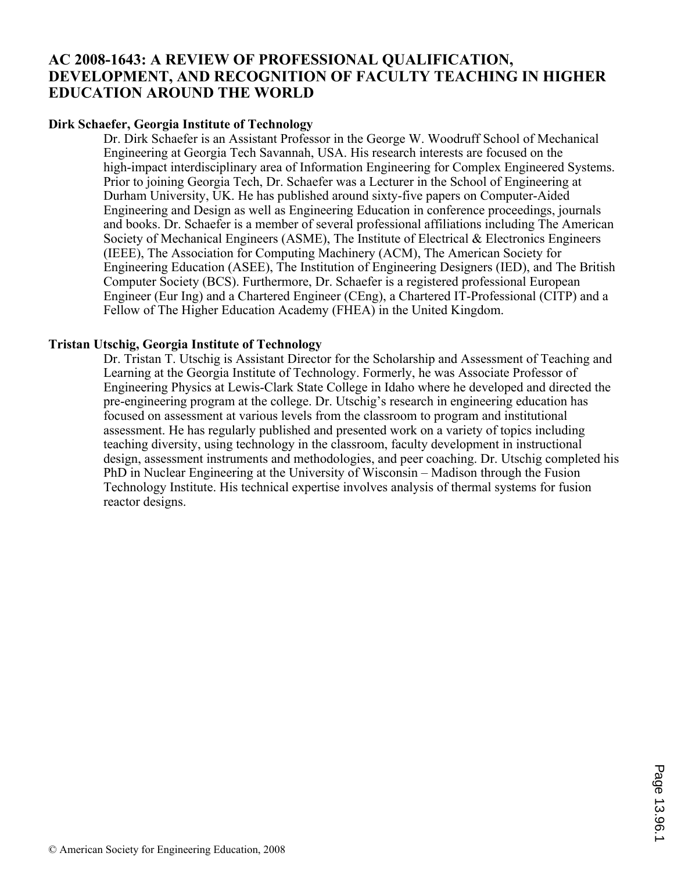# **AC 2008-1643: A REVIEW OF PROFESSIONAL QUALIFICATION, DEVELOPMENT, AND RECOGNITION OF FACULTY TEACHING IN HIGHER EDUCATION AROUND THE WORLD**

#### **Dirk Schaefer, Georgia Institute of Technology**

Dr. Dirk Schaefer is an Assistant Professor in the George W. Woodruff School of Mechanical Engineering at Georgia Tech Savannah, USA. His research interests are focused on the high-impact interdisciplinary area of Information Engineering for Complex Engineered Systems. Prior to joining Georgia Tech, Dr. Schaefer was a Lecturer in the School of Engineering at Durham University, UK. He has published around sixty-five papers on Computer-Aided Engineering and Design as well as Engineering Education in conference proceedings, journals and books. Dr. Schaefer is a member of several professional affiliations including The American Society of Mechanical Engineers (ASME), The Institute of Electrical & Electronics Engineers (IEEE), The Association for Computing Machinery (ACM), The American Society for Engineering Education (ASEE), The Institution of Engineering Designers (IED), and The British Computer Society (BCS). Furthermore, Dr. Schaefer is a registered professional European Engineer (Eur Ing) and a Chartered Engineer (CEng), a Chartered IT-Professional (CITP) and a Fellow of The Higher Education Academy (FHEA) in the United Kingdom.

#### **Tristan Utschig, Georgia Institute of Technology**

Dr. Tristan T. Utschig is Assistant Director for the Scholarship and Assessment of Teaching and Learning at the Georgia Institute of Technology. Formerly, he was Associate Professor of Engineering Physics at Lewis-Clark State College in Idaho where he developed and directed the pre-engineering program at the college. Dr. Utschig's research in engineering education has focused on assessment at various levels from the classroom to program and institutional assessment. He has regularly published and presented work on a variety of topics including teaching diversity, using technology in the classroom, faculty development in instructional design, assessment instruments and methodologies, and peer coaching. Dr. Utschig completed his PhD in Nuclear Engineering at the University of Wisconsin – Madison through the Fusion Technology Institute. His technical expertise involves analysis of thermal systems for fusion reactor designs.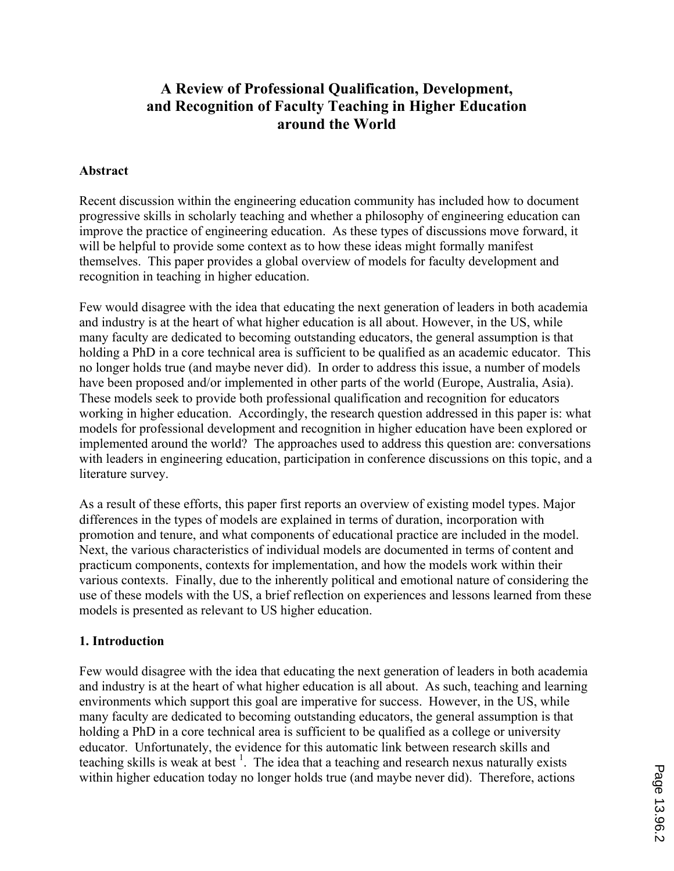# **A Review of Professional Qualification, Development, and Recognition of Faculty Teaching in Higher Education around the World**

#### **Abstract**

Recent discussion within the engineering education community has included how to document progressive skills in scholarly teaching and whether a philosophy of engineering education can improve the practice of engineering education. As these types of discussions move forward, it will be helpful to provide some context as to how these ideas might formally manifest themselves. This paper provides a global overview of models for faculty development and recognition in teaching in higher education.

Few would disagree with the idea that educating the next generation of leaders in both academia and industry is at the heart of what higher education is all about. However, in the US, while many faculty are dedicated to becoming outstanding educators, the general assumption is that holding a PhD in a core technical area is sufficient to be qualified as an academic educator. This no longer holds true (and maybe never did). In order to address this issue, a number of models have been proposed and/or implemented in other parts of the world (Europe, Australia, Asia). These models seek to provide both professional qualification and recognition for educators working in higher education. Accordingly, the research question addressed in this paper is: what models for professional development and recognition in higher education have been explored or implemented around the world? The approaches used to address this question are: conversations with leaders in engineering education, participation in conference discussions on this topic, and a literature survey.

As a result of these efforts, this paper first reports an overview of existing model types. Major differences in the types of models are explained in terms of duration, incorporation with promotion and tenure, and what components of educational practice are included in the model. Next, the various characteristics of individual models are documented in terms of content and practicum components, contexts for implementation, and how the models work within their various contexts. Finally, due to the inherently political and emotional nature of considering the use of these models with the US, a brief reflection on experiences and lessons learned from these models is presented as relevant to US higher education.

#### **1. Introduction**

Few would disagree with the idea that educating the next generation of leaders in both academia and industry is at the heart of what higher education is all about. As such, teaching and learning environments which support this goal are imperative for success. However, in the US, while many faculty are dedicated to becoming outstanding educators, the general assumption is that holding a PhD in a core technical area is sufficient to be qualified as a college or university educator. Unfortunately, the evidence for this automatic link between research skills and teaching skills is weak at best<sup>1</sup>. The idea that a teaching and research nexus naturally exists within higher education today no longer holds true (and maybe never did). Therefore, actions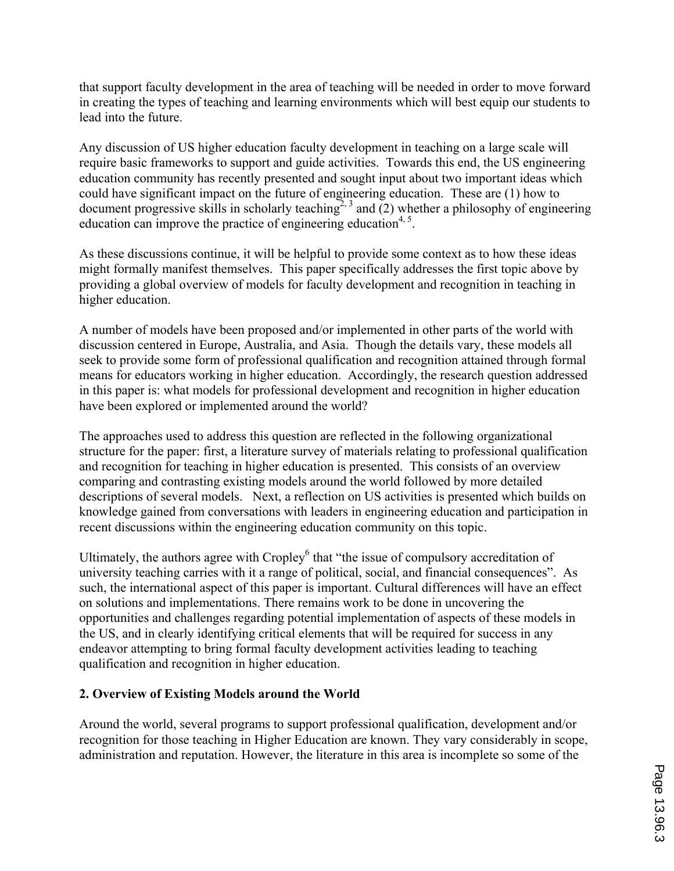that support faculty development in the area of teaching will be needed in order to move forward in creating the types of teaching and learning environments which will best equip our students to lead into the future.

Any discussion of US higher education faculty development in teaching on a large scale will require basic frameworks to support and guide activities. Towards this end, the US engineering education community has recently presented and sought input about two important ideas which could have significant impact on the future of engineering education. These are (1) how to document progressive skills in scholarly teaching<sup>2, 3</sup> and (2) whether a philosophy of engineering education can improve the practice of engineering education<sup>4, 5</sup>.

As these discussions continue, it will be helpful to provide some context as to how these ideas might formally manifest themselves. This paper specifically addresses the first topic above by providing a global overview of models for faculty development and recognition in teaching in higher education.

A number of models have been proposed and/or implemented in other parts of the world with discussion centered in Europe, Australia, and Asia. Though the details vary, these models all seek to provide some form of professional qualification and recognition attained through formal means for educators working in higher education. Accordingly, the research question addressed in this paper is: what models for professional development and recognition in higher education have been explored or implemented around the world?

The approaches used to address this question are reflected in the following organizational structure for the paper: first, a literature survey of materials relating to professional qualification and recognition for teaching in higher education is presented. This consists of an overview comparing and contrasting existing models around the world followed by more detailed descriptions of several models. Next, a reflection on US activities is presented which builds on knowledge gained from conversations with leaders in engineering education and participation in recent discussions within the engineering education community on this topic.

Ultimately, the authors agree with Cropley<sup>6</sup> that "the issue of compulsory accreditation of university teaching carries with it a range of political, social, and financial consequences". As such, the international aspect of this paper is important. Cultural differences will have an effect on solutions and implementations. There remains work to be done in uncovering the opportunities and challenges regarding potential implementation of aspects of these models in the US, and in clearly identifying critical elements that will be required for success in any endeavor attempting to bring formal faculty development activities leading to teaching qualification and recognition in higher education.

#### **2. Overview of Existing Models around the World**

Around the world, several programs to support professional qualification, development and/or recognition for those teaching in Higher Education are known. They vary considerably in scope, administration and reputation. However, the literature in this area is incomplete so some of the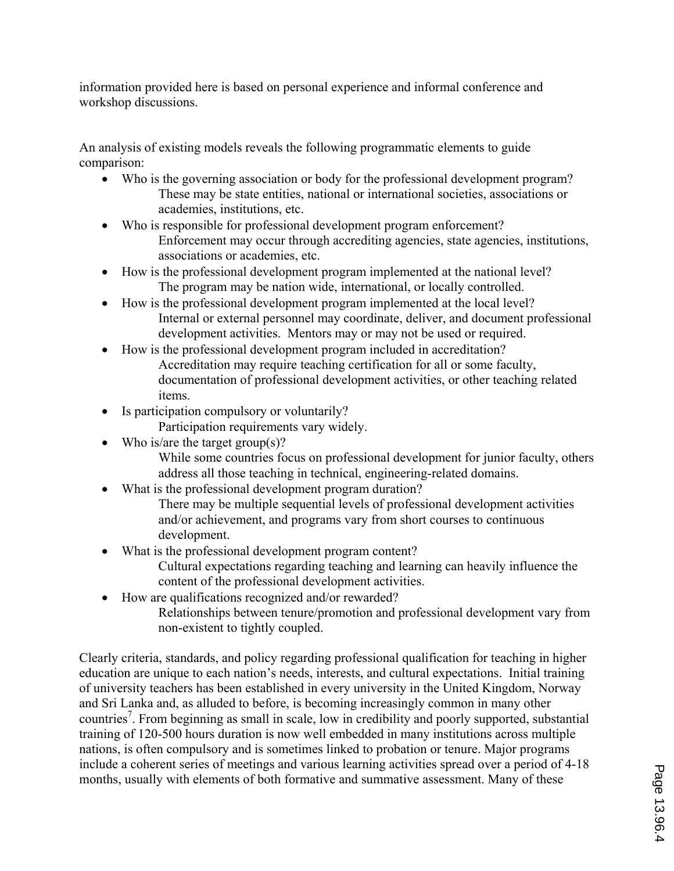information provided here is based on personal experience and informal conference and workshop discussions.

An analysis of existing models reveals the following programmatic elements to guide comparison:

- ' Who is the governing association or body for the professional development program? These may be state entities, national or international societies, associations or academies, institutions, etc.
- ' Who is responsible for professional development program enforcement? Enforcement may occur through accrediting agencies, state agencies, institutions, associations or academies, etc.
- ' How is the professional development program implemented at the national level? The program may be nation wide, international, or locally controlled.
- ' How is the professional development program implemented at the local level? Internal or external personnel may coordinate, deliver, and document professional development activities. Mentors may or may not be used or required.
- ' How is the professional development program included in accreditation? Accreditation may require teaching certification for all or some faculty, documentation of professional development activities, or other teaching related items.
- ' Is participation compulsory or voluntarily?

Participation requirements vary widely.

- Who is/are the target group(s)?
	- While some countries focus on professional development for junior faculty, others address all those teaching in technical, engineering-related domains.
- ' What is the professional development program duration?
	- There may be multiple sequential levels of professional development activities and/or achievement, and programs vary from short courses to continuous development.
- ' What is the professional development program content? Cultural expectations regarding teaching and learning can heavily influence the content of the professional development activities.
- ' How are qualifications recognized and/or rewarded?
	- Relationships between tenure/promotion and professional development vary from non-existent to tightly coupled.

Clearly criteria, standards, and policy regarding professional qualification for teaching in higher education are unique to each nation's needs, interests, and cultural expectations. Initial training of university teachers has been established in every university in the United Kingdom, Norway and Sri Lanka and, as alluded to before, is becoming increasingly common in many other countries<sup>7</sup>. From beginning as small in scale, low in credibility and poorly supported, substantial training of 120-500 hours duration is now well embedded in many institutions across multiple nations, is often compulsory and is sometimes linked to probation or tenure. Major programs include a coherent series of meetings and various learning activities spread over a period of 4-18 months, usually with elements of both formative and summative assessment. Many of these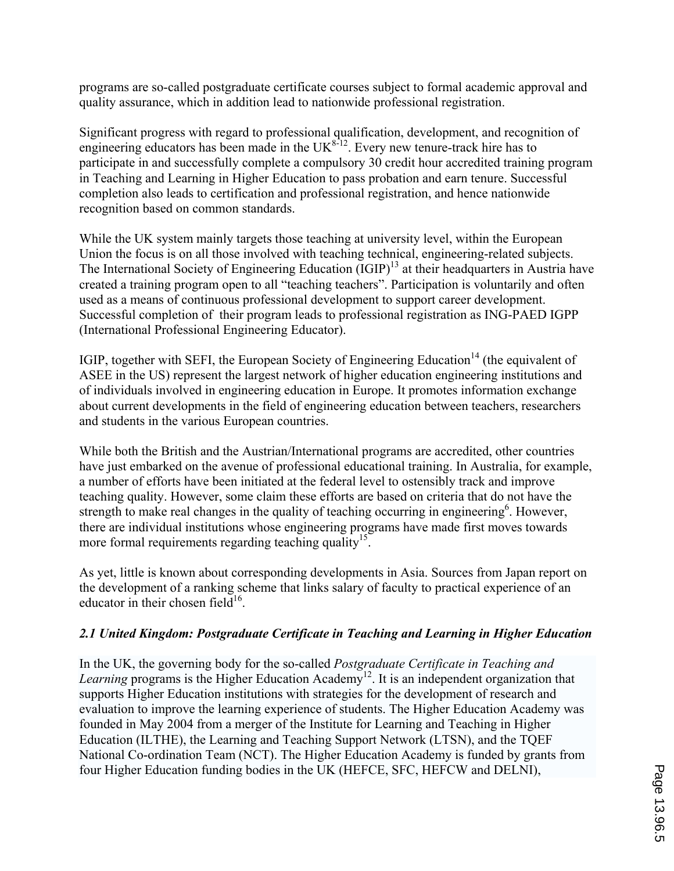programs are so-called postgraduate certificate courses subject to formal academic approval and quality assurance, which in addition lead to nationwide professional registration.

Significant progress with regard to professional qualification, development, and recognition of engineering educators has been made in the  $UK^{8-12}$ . Every new tenure-track hire has to participate in and successfully complete a compulsory 30 credit hour accredited training program in Teaching and Learning in Higher Education to pass probation and earn tenure. Successful completion also leads to certification and professional registration, and hence nationwide recognition based on common standards.

While the UK system mainly targets those teaching at university level, within the European Union the focus is on all those involved with teaching technical, engineering-related subjects. The International Society of Engineering Education (IGIP)<sup>13</sup> at their headquarters in Austria have created a training program open to all "teaching teachers". Participation is voluntarily and often used as a means of continuous professional development to support career development. Successful completion of their program leads to professional registration as ING-PAED IGPP (International Professional Engineering Educator).

IGIP, together with SEFI, the European Society of Engineering Education<sup>14</sup> (the equivalent of ASEE in the US) represent the largest network of higher education engineering institutions and of individuals involved in engineering education in Europe. It promotes information exchange about current developments in the field of engineering education between teachers, researchers and students in the various European countries.

While both the British and the Austrian/International programs are accredited, other countries have just embarked on the avenue of professional educational training. In Australia, for example, a number of efforts have been initiated at the federal level to ostensibly track and improve teaching quality. However, some claim these efforts are based on criteria that do not have the strength to make real changes in the quality of teaching occurring in engineering<sup>6</sup>. However, there are individual institutions whose engineering programs have made first moves towards more formal requirements regarding teaching quality<sup>15</sup>.

As yet, little is known about corresponding developments in Asia. Sources from Japan report on the development of a ranking scheme that links salary of faculty to practical experience of an educator in their chosen field<sup>16</sup>.

# *2.1 United Kingdom: Postgraduate Certificate in Teaching and Learning in Higher Education*

In the UK, the governing body for the so-called *Postgraduate Certificate in Teaching and Learning* programs is the Higher Education Academy<sup>12</sup>. It is an independent organization that supports Higher Education institutions with strategies for the development of research and evaluation to improve the learning experience of students. The Higher Education Academy was founded in May 2004 from a merger of the Institute for Learning and Teaching in Higher Education (ILTHE), the Learning and Teaching Support Network (LTSN), and the TQEF National Co-ordination Team (NCT). The Higher Education Academy is funded by grants from four Higher Education funding bodies in the UK (HEFCE, SFC, HEFCW and DELNI),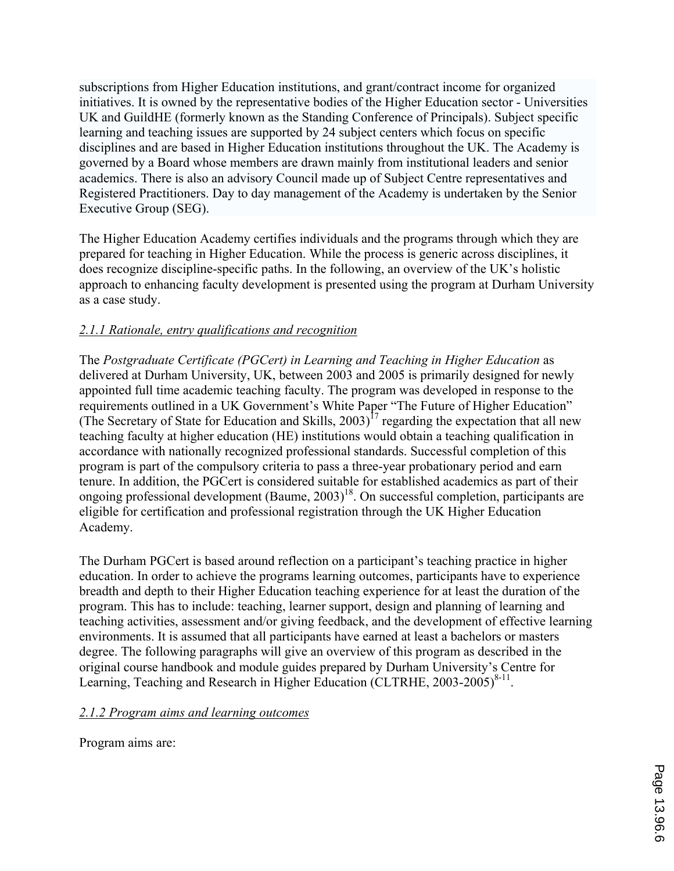subscriptions from Higher Education institutions, and grant/contract income for organized initiatives. It is owned by the representative bodies of the Higher Education sector - Universities UK and GuildHE (formerly known as the Standing Conference of Principals). Subject specific learning and teaching issues are supported by 24 subject centers which focus on specific disciplines and are based in Higher Education institutions throughout the UK. The Academy is governed by a Board whose members are drawn mainly from institutional leaders and senior academics. There is also an advisory Council made up of Subject Centre representatives and Registered Practitioners. Day to day management of the Academy is undertaken by the Senior Executive Group (SEG).

The Higher Education Academy certifies individuals and the programs through which they are prepared for teaching in Higher Education. While the process is generic across disciplines, it does recognize discipline-specific paths. In the following, an overview of the UK's holistic approach to enhancing faculty development is presented using the program at Durham University as a case study.

# *2.1.1 Rationale, entry qualifications and recognition*

The *Postgraduate Certificate (PGCert) in Learning and Teaching in Higher Education* as delivered at Durham University, UK, between 2003 and 2005 is primarily designed for newly appointed full time academic teaching faculty. The program was developed in response to the requirements outlined in a UK Government's White Paper "The Future of Higher Education" (The Secretary of State for Education and Skills, 2003)<sup>17</sup> regarding the expectation that all new teaching faculty at higher education (HE) institutions would obtain a teaching qualification in accordance with nationally recognized professional standards. Successful completion of this program is part of the compulsory criteria to pass a three-year probationary period and earn tenure. In addition, the PGCert is considered suitable for established academics as part of their ongoing professional development (Baume,  $2003$ )<sup>18</sup>. On successful completion, participants are eligible for certification and professional registration through the UK Higher Education Academy.

The Durham PGCert is based around reflection on a participant's teaching practice in higher education. In order to achieve the programs learning outcomes, participants have to experience breadth and depth to their Higher Education teaching experience for at least the duration of the program. This has to include: teaching, learner support, design and planning of learning and teaching activities, assessment and/or giving feedback, and the development of effective learning environments. It is assumed that all participants have earned at least a bachelors or masters degree. The following paragraphs will give an overview of this program as described in the original course handbook and module guides prepared by Durham University's Centre for Learning, Teaching and Research in Higher Education (CLTRHE,  $2003-2005)^{8-11}$ .

#### *2.1.2 Program aims and learning outcomes*

Program aims are: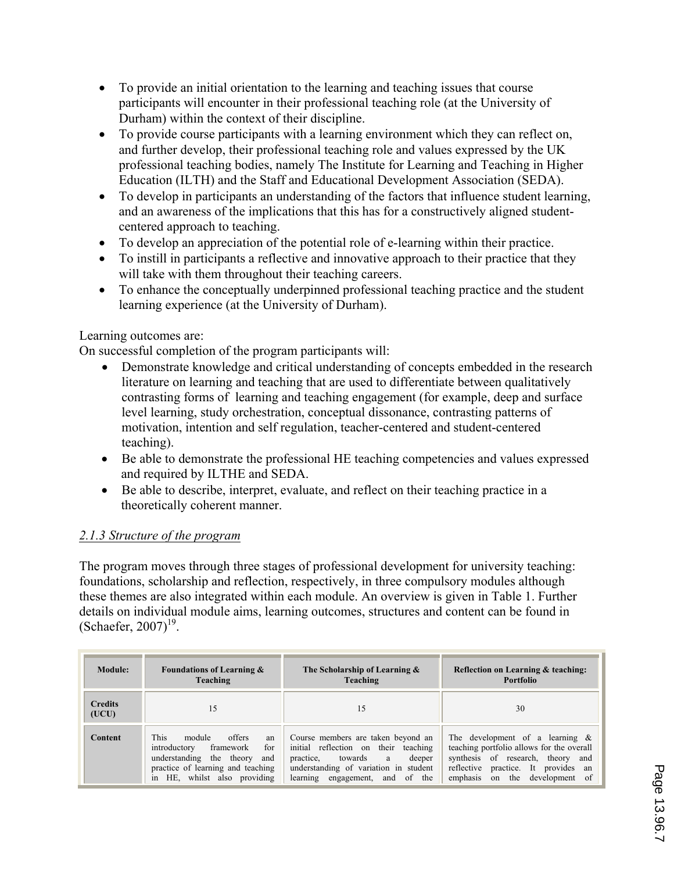- ' To provide an initial orientation to the learning and teaching issues that course participants will encounter in their professional teaching role (at the University of Durham) within the context of their discipline.
- To provide course participants with a learning environment which they can reflect on, and further develop, their professional teaching role and values expressed by the UK professional teaching bodies, namely The Institute for Learning and Teaching in Higher Education (ILTH) and the Staff and Educational Development Association (SEDA).
- ' To develop in participants an understanding of the factors that influence student learning, and an awareness of the implications that this has for a constructively aligned studentcentered approach to teaching.
- ' To develop an appreciation of the potential role of e-learning within their practice.
- ' To instill in participants a reflective and innovative approach to their practice that they will take with them throughout their teaching careers.
- ' To enhance the conceptually underpinned professional teaching practice and the student learning experience (at the University of Durham).

### Learning outcomes are:

On successful completion of the program participants will:

- Demonstrate knowledge and critical understanding of concepts embedded in the research literature on learning and teaching that are used to differentiate between qualitatively contrasting forms of learning and teaching engagement (for example, deep and surface level learning, study orchestration, conceptual dissonance, contrasting patterns of motivation, intention and self regulation, teacher-centered and student-centered teaching).
- ' Be able to demonstrate the professional HE teaching competencies and values expressed and required by ILTHE and SEDA.
- ' Be able to describe, interpret, evaluate, and reflect on their teaching practice in a theoretically coherent manner.

## *2.1.3 Structure of the program*

The program moves through three stages of professional development for university teaching: foundations, scholarship and reflection, respectively, in three compulsory modules although these themes are also integrated within each module. An overview is given in Table 1. Further details on individual module aims, learning outcomes, structures and content can be found in (Schaefer, 2007)<sup>19</sup>.

| Module:                 | <b>Foundations of Learning &amp;</b><br>Teaching                                                                                                                                        | The Scholarship of Learning &<br>Teaching                                                                                                                                                     | Reflection on Learning & teaching:<br>Portfolio                                                                                                                                                  |
|-------------------------|-----------------------------------------------------------------------------------------------------------------------------------------------------------------------------------------|-----------------------------------------------------------------------------------------------------------------------------------------------------------------------------------------------|--------------------------------------------------------------------------------------------------------------------------------------------------------------------------------------------------|
| <b>Credits</b><br>(UCU) | 15                                                                                                                                                                                      | 15                                                                                                                                                                                            | 30                                                                                                                                                                                               |
| <b>Content</b>          | <b>This</b><br>module<br>offers<br>an<br>for<br>introductory<br>framework<br>understanding<br>the theory<br>and<br>practice of learning and teaching<br>HE, whilst also providing<br>in | Course members are taken beyond an<br>initial reflection on their teaching<br>practice, towards<br>deeper<br>a<br>understanding of variation in student<br>learning engagement,<br>and of the | The development of a learning $\&$<br>teaching portfolio allows for the overall<br>synthesis of research, theory and<br>reflective practice. It provides an<br>on the development of<br>emphasis |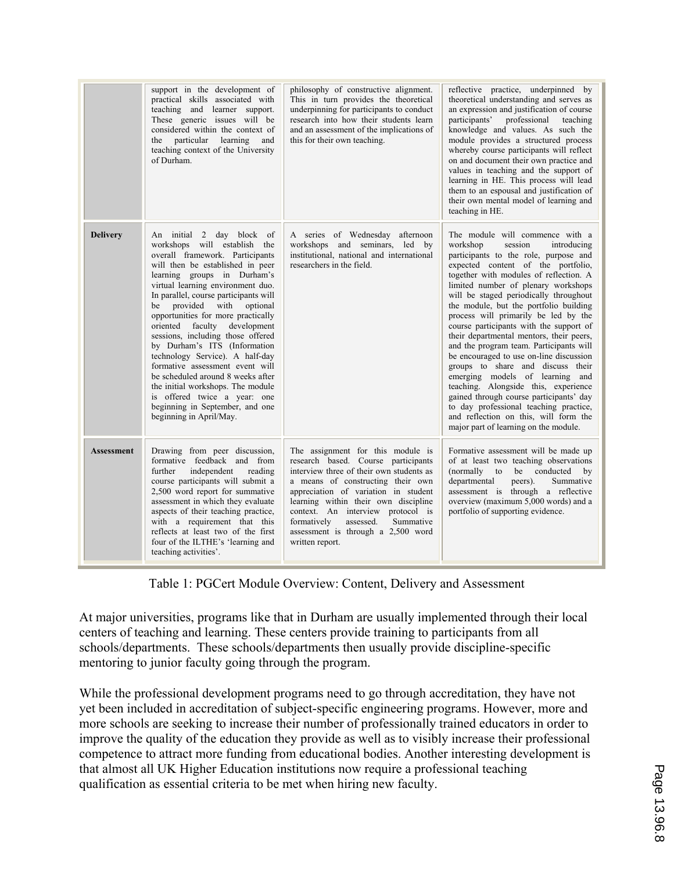|                   | support in the development of<br>practical skills associated with<br>teaching and learner support.<br>These generic issues will be<br>considered within the context of<br>the particular learning<br>and<br>teaching context of the University<br>of Durham.                                                                                                                                                                                                                                                                                                                                                                                                        | philosophy of constructive alignment.<br>This in turn provides the theoretical<br>underpinning for participants to conduct<br>research into how their students learn<br>and an assessment of the implications of<br>this for their own teaching.                                                                                                                                 | reflective practice, underpinned by<br>theoretical understanding and serves as<br>an expression and justification of course<br>participants'<br>professional<br>teaching<br>knowledge and values. As such the<br>module provides a structured process<br>whereby course participants will reflect<br>on and document their own practice and<br>values in teaching and the support of<br>learning in HE. This process will lead<br>them to an espousal and justification of<br>their own mental model of learning and<br>teaching in HE.                                                                                                                                                                                                                                                                                               |
|-------------------|---------------------------------------------------------------------------------------------------------------------------------------------------------------------------------------------------------------------------------------------------------------------------------------------------------------------------------------------------------------------------------------------------------------------------------------------------------------------------------------------------------------------------------------------------------------------------------------------------------------------------------------------------------------------|----------------------------------------------------------------------------------------------------------------------------------------------------------------------------------------------------------------------------------------------------------------------------------------------------------------------------------------------------------------------------------|---------------------------------------------------------------------------------------------------------------------------------------------------------------------------------------------------------------------------------------------------------------------------------------------------------------------------------------------------------------------------------------------------------------------------------------------------------------------------------------------------------------------------------------------------------------------------------------------------------------------------------------------------------------------------------------------------------------------------------------------------------------------------------------------------------------------------------------|
| <b>Delivery</b>   | An initial 2 day block of<br>workshops will establish the<br>overall framework. Participants<br>will then be established in peer<br>learning groups in Durham's<br>virtual learning environment duo.<br>In parallel, course participants will<br>be provided with optional<br>opportunities for more practically<br>oriented faculty development<br>sessions, including those offered<br>by Durham's ITS (Information<br>technology Service). A half-day<br>formative assessment event will<br>be scheduled around 8 weeks after<br>the initial workshops. The module<br>is offered twice a year: one<br>beginning in September, and one<br>beginning in April/May. | A series of Wednesday afternoon<br>workshops and seminars, led by<br>institutional, national and international<br>researchers in the field.                                                                                                                                                                                                                                      | The module will commence with a<br>workshop<br>session<br>introducing<br>participants to the role, purpose and<br>expected content of the portfolio,<br>together with modules of reflection. A<br>limited number of plenary workshops<br>will be staged periodically throughout<br>the module, but the portfolio building<br>process will primarily be led by the<br>course participants with the support of<br>their departmental mentors, their peers,<br>and the program team. Participants will<br>be encouraged to use on-line discussion<br>groups to share and discuss their<br>emerging models of learning and<br>teaching. Alongside this, experience<br>gained through course participants' day<br>to day professional teaching practice,<br>and reflection on this, will form the<br>major part of learning on the module. |
| <b>Assessment</b> | Drawing from peer discussion,<br>formative feedback and from<br>further<br>independent<br>reading<br>course participants will submit a<br>2,500 word report for summative<br>assessment in which they evaluate<br>aspects of their teaching practice,<br>with a requirement that this<br>reflects at least two of the first<br>four of the ILTHE's 'learning and<br>teaching activities'.                                                                                                                                                                                                                                                                           | The assignment for this module is<br>research based. Course participants<br>interview three of their own students as<br>a means of constructing their own<br>appreciation of variation in student<br>learning within their own discipline<br>context. An interview protocol is<br>formatively<br>assessed.<br>Summative<br>assessment is through a 2,500 word<br>written report. | Formative assessment will be made up<br>of at least two teaching observations<br>(normally to be conducted<br>$\mathbf{b}$<br>departmental<br>peers).<br>Summative<br>assessment is through a reflective<br>overview (maximum 5,000 words) and a<br>portfolio of supporting evidence.                                                                                                                                                                                                                                                                                                                                                                                                                                                                                                                                                 |

Table 1: PGCert Module Overview: Content, Delivery and Assessment

At major universities, programs like that in Durham are usually implemented through their local centers of teaching and learning. These centers provide training to participants from all schools/departments. These schools/departments then usually provide discipline-specific mentoring to junior faculty going through the program.

While the professional development programs need to go through accreditation, they have not yet been included in accreditation of subject-specific engineering programs. However, more and more schools are seeking to increase their number of professionally trained educators in order to improve the quality of the education they provide as well as to visibly increase their professional competence to attract more funding from educational bodies. Another interesting development is that almost all UK Higher Education institutions now require a professional teaching qualification as essential criteria to be met when hiring new faculty.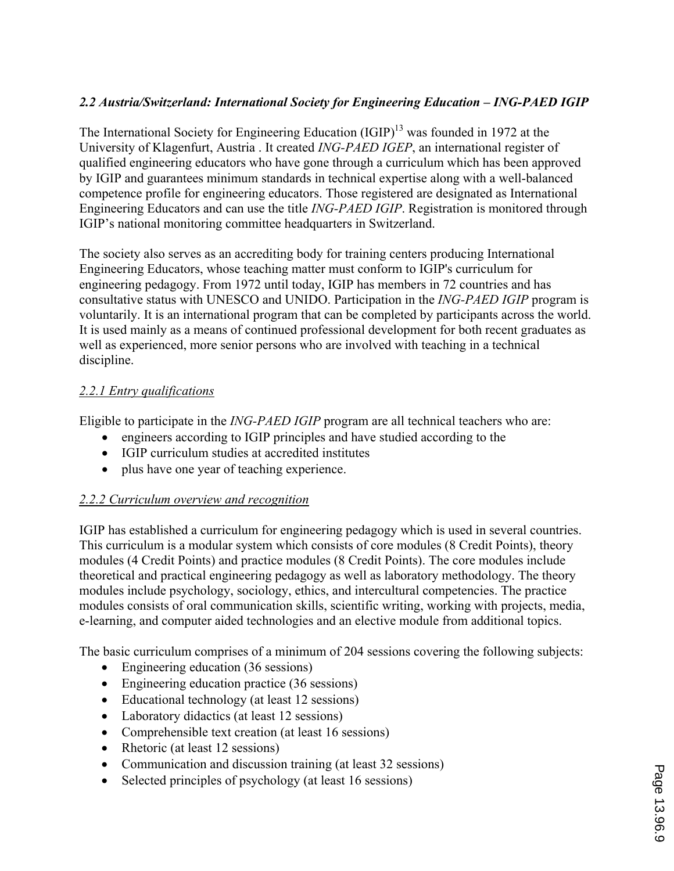# *2.2 Austria/Switzerland: International Society for Engineering Education – ING-PAED IGIP*

The International Society for Engineering Education  $\text{(IGIP)}^{13}$  was founded in 1972 at the University of Klagenfurt, Austria . It created *ING-PAED IGEP*, an international register of qualified engineering educators who have gone through a curriculum which has been approved by IGIP and guarantees minimum standards in technical expertise along with a well-balanced competence profile for engineering educators. Those registered are designated as International Engineering Educators and can use the title *ING-PAED IGIP*. Registration is monitored through IGIP's national monitoring committee headquarters in Switzerland.

The society also serves as an accrediting body for training centers producing International Engineering Educators, whose teaching matter must conform to IGIP's curriculum for engineering pedagogy. From 1972 until today, IGIP has members in 72 countries and has consultative status with UNESCO and UNIDO. Participation in the *ING-PAED IGIP* program is voluntarily. It is an international program that can be completed by participants across the world. It is used mainly as a means of continued professional development for both recent graduates as well as experienced, more senior persons who are involved with teaching in a technical discipline.

## *2.2.1 Entry qualifications*

Eligible to participate in the *ING-PAED IGIP* program are all technical teachers who are:

- ' engineers according to IGIP principles and have studied according to the
- ' IGIP curriculum studies at accredited institutes
- ' plus have one year of teaching experience.

## *2.2.2 Curriculum overview and recognition*

IGIP has established a curriculum for engineering pedagogy which is used in several countries. This curriculum is a modular system which consists of core modules (8 Credit Points), theory modules (4 Credit Points) and practice modules (8 Credit Points). The core modules include theoretical and practical engineering pedagogy as well as laboratory methodology. The theory modules include psychology, sociology, ethics, and intercultural competencies. The practice modules consists of oral communication skills, scientific writing, working with projects, media, e-learning, and computer aided technologies and an elective module from additional topics.

The basic curriculum comprises of a minimum of 204 sessions covering the following subjects:

- Engineering education (36 sessions)
- ' Engineering education practice (36 sessions)
- ' Educational technology (at least 12 sessions)
- Laboratory didactics (at least 12 sessions)
- Comprehensible text creation (at least 16 sessions)
- Rhetoric (at least 12 sessions)
- ' Communication and discussion training (at least 32 sessions)
- ' Selected principles of psychology (at least 16 sessions)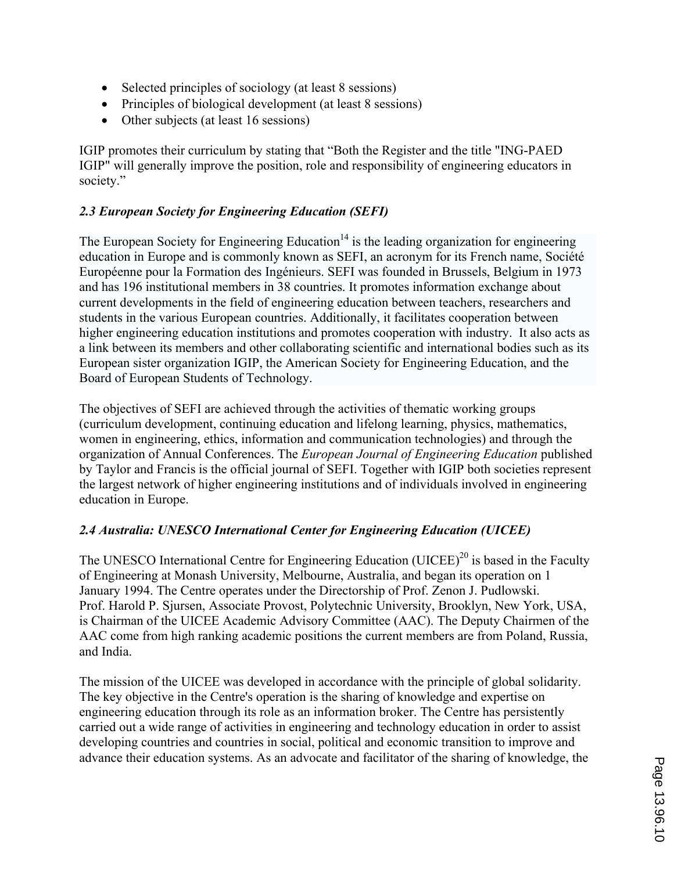- ' Selected principles of sociology (at least 8 sessions)
- ' Principles of biological development (at least 8 sessions)
- ' Other subjects (at least 16 sessions)

IGIP promotes their curriculum by stating that "Both the Register and the title "ING-PAED IGIP" will generally improve the position, role and responsibility of engineering educators in society."

### *2.3 European Society for Engineering Education (SEFI)*

The European Society for Engineering Education<sup>14</sup> is the leading organization for engineering education in Europe and is commonly known as SEFI, an acronym for its French name, Société Européenne pour la Formation des Ingénieurs. SEFI was founded in Brussels, Belgium in 1973 and has 196 institutional members in 38 countries. It promotes information exchange about current developments in the field of engineering education between teachers, researchers and students in the various European countries. Additionally, it facilitates cooperation between higher engineering education institutions and promotes cooperation with industry. It also acts as a link between its members and other collaborating scientific and international bodies such as its European sister organization IGIP, the American Society for Engineering Education, and the Board of European Students of Technology.

The objectives of SEFI are achieved through the activities of thematic working groups (curriculum development, continuing education and lifelong learning, physics, mathematics, women in engineering, ethics, information and communication technologies) and through the organization of Annual Conferences. The *European Journal of Engineering Education* published by Taylor and Francis is the official journal of SEFI. Together with IGIP both societies represent the largest network of higher engineering institutions and of individuals involved in engineering education in Europe.

## *2.4 Australia: UNESCO International Center for Engineering Education (UICEE)*

The UNESCO International Centre for Engineering Education (UICEE)<sup>20</sup> is based in the Faculty of Engineering at Monash University, Melbourne, Australia, and began its operation on 1 January 1994. The Centre operates under the Directorship of Prof. Zenon J. Pudlowski. Prof. Harold P. Sjursen, Associate Provost, Polytechnic University, Brooklyn, New York, USA, is Chairman of the UICEE Academic Advisory Committee (AAC). The Deputy Chairmen of the AAC come from high ranking academic positions the current members are from Poland, Russia, and India.

The mission of the UICEE was developed in accordance with the principle of global solidarity. The key objective in the Centre's operation is the sharing of knowledge and expertise on engineering education through its role as an information broker. The Centre has persistently carried out a wide range of activities in engineering and technology education in order to assist developing countries and countries in social, political and economic transition to improve and advance their education systems. As an advocate and facilitator of the sharing of knowledge, the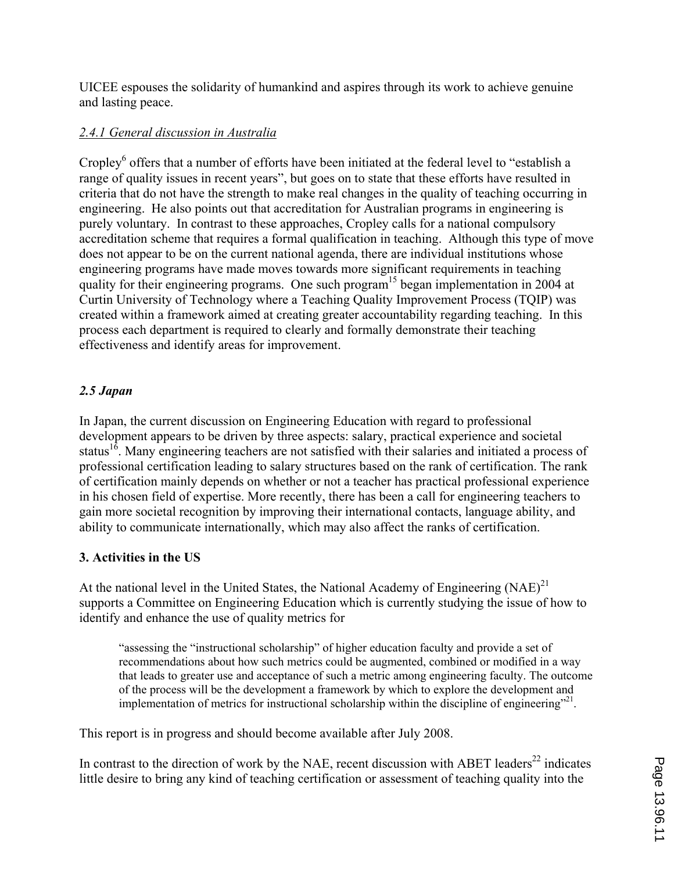UICEE espouses the solidarity of humankind and aspires through its work to achieve genuine and lasting peace.

### *2.4.1 General discussion in Australia*

Cropley<sup>6</sup> offers that a number of efforts have been initiated at the federal level to "establish a range of quality issues in recent years", but goes on to state that these efforts have resulted in criteria that do not have the strength to make real changes in the quality of teaching occurring in engineering. He also points out that accreditation for Australian programs in engineering is purely voluntary. In contrast to these approaches, Cropley calls for a national compulsory accreditation scheme that requires a formal qualification in teaching. Although this type of move does not appear to be on the current national agenda, there are individual institutions whose engineering programs have made moves towards more significant requirements in teaching quality for their engineering programs. One such program<sup>15</sup> began implementation in 2004 at Curtin University of Technology where a Teaching Quality Improvement Process (TQIP) was created within a framework aimed at creating greater accountability regarding teaching. In this process each department is required to clearly and formally demonstrate their teaching effectiveness and identify areas for improvement.

## *2.5 Japan*

In Japan, the current discussion on Engineering Education with regard to professional development appears to be driven by three aspects: salary, practical experience and societal status<sup>16</sup>. Many engineering teachers are not satisfied with their salaries and initiated a process of professional certification leading to salary structures based on the rank of certification. The rank of certification mainly depends on whether or not a teacher has practical professional experience in his chosen field of expertise. More recently, there has been a call for engineering teachers to gain more societal recognition by improving their international contacts, language ability, and ability to communicate internationally, which may also affect the ranks of certification.

#### **3. Activities in the US**

At the national level in the United States, the National Academy of Engineering  $(NAE)^{21}$ supports a Committee on Engineering Education which is currently studying the issue of how to identify and enhance the use of quality metrics for

"assessing the "instructional scholarship" of higher education faculty and provide a set of recommendations about how such metrics could be augmented, combined or modified in a way that leads to greater use and acceptance of such a metric among engineering faculty. The outcome of the process will be the development a framework by which to explore the development and implementation of metrics for instructional scholarship within the discipline of engineering $^{221}$ .

This report is in progress and should become available after July 2008.

In contrast to the direction of work by the NAE, recent discussion with ABET leaders<sup>22</sup> indicates little desire to bring any kind of teaching certification or assessment of teaching quality into the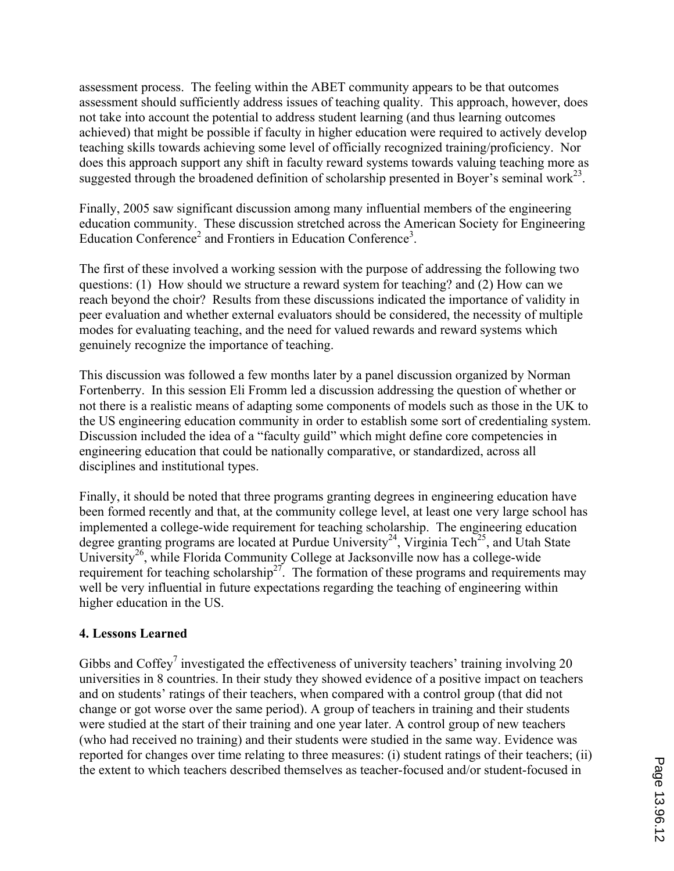assessment process. The feeling within the ABET community appears to be that outcomes assessment should sufficiently address issues of teaching quality. This approach, however, does not take into account the potential to address student learning (and thus learning outcomes achieved) that might be possible if faculty in higher education were required to actively develop teaching skills towards achieving some level of officially recognized training/proficiency. Nor does this approach support any shift in faculty reward systems towards valuing teaching more as suggested through the broadened definition of scholarship presented in Boyer's seminal work<sup>23</sup>.

Finally, 2005 saw significant discussion among many influential members of the engineering education community. These discussion stretched across the American Society for Engineering Education Conference<sup>2</sup> and Frontiers in Education Conference<sup>3</sup>.

The first of these involved a working session with the purpose of addressing the following two questions: (1) How should we structure a reward system for teaching? and (2) How can we reach beyond the choir? Results from these discussions indicated the importance of validity in peer evaluation and whether external evaluators should be considered, the necessity of multiple modes for evaluating teaching, and the need for valued rewards and reward systems which genuinely recognize the importance of teaching.

This discussion was followed a few months later by a panel discussion organized by Norman Fortenberry. In this session Eli Fromm led a discussion addressing the question of whether or not there is a realistic means of adapting some components of models such as those in the UK to the US engineering education community in order to establish some sort of credentialing system. Discussion included the idea of a "faculty guild" which might define core competencies in engineering education that could be nationally comparative, or standardized, across all disciplines and institutional types.

Finally, it should be noted that three programs granting degrees in engineering education have been formed recently and that, at the community college level, at least one very large school has implemented a college-wide requirement for teaching scholarship. The engineering education degree granting programs are located at Purdue University<sup>24</sup>, Virginia Tech<sup>25</sup>, and Utah State University<sup>26</sup>, while Florida Community College at Jacksonville now has a college-wide requirement for teaching scholarship<sup>27</sup>. The formation of these programs and requirements may well be very influential in future expectations regarding the teaching of engineering within higher education in the US.

#### **4. Lessons Learned**

Gibbs and Coffey<sup>7</sup> investigated the effectiveness of university teachers' training involving 20 universities in 8 countries. In their study they showed evidence of a positive impact on teachers and on students' ratings of their teachers, when compared with a control group (that did not change or got worse over the same period). A group of teachers in training and their students were studied at the start of their training and one year later. A control group of new teachers (who had received no training) and their students were studied in the same way. Evidence was reported for changes over time relating to three measures: (i) student ratings of their teachers; (ii) the extent to which teachers described themselves as teacher-focused and/or student-focused in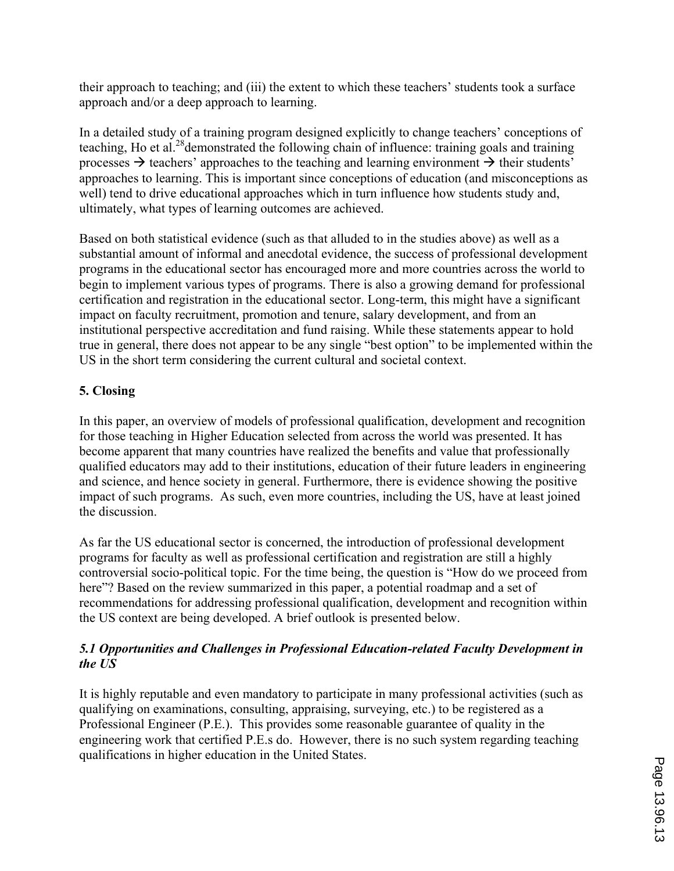their approach to teaching; and (iii) the extent to which these teachers' students took a surface approach and/or a deep approach to learning.

In a detailed study of a training program designed explicitly to change teachers' conceptions of teaching, Ho et al.<sup>28</sup> demonstrated the following chain of influence: training goals and training processes  $\rightarrow$  teachers' approaches to the teaching and learning environment  $\rightarrow$  their students' approaches to learning. This is important since conceptions of education (and misconceptions as well) tend to drive educational approaches which in turn influence how students study and, ultimately, what types of learning outcomes are achieved.

Based on both statistical evidence (such as that alluded to in the studies above) as well as a substantial amount of informal and anecdotal evidence, the success of professional development programs in the educational sector has encouraged more and more countries across the world to begin to implement various types of programs. There is also a growing demand for professional certification and registration in the educational sector. Long-term, this might have a significant impact on faculty recruitment, promotion and tenure, salary development, and from an institutional perspective accreditation and fund raising. While these statements appear to hold true in general, there does not appear to be any single "best option" to be implemented within the US in the short term considering the current cultural and societal context.

## **5. Closing**

In this paper, an overview of models of professional qualification, development and recognition for those teaching in Higher Education selected from across the world was presented. It has become apparent that many countries have realized the benefits and value that professionally qualified educators may add to their institutions, education of their future leaders in engineering and science, and hence society in general. Furthermore, there is evidence showing the positive impact of such programs. As such, even more countries, including the US, have at least joined the discussion.

As far the US educational sector is concerned, the introduction of professional development programs for faculty as well as professional certification and registration are still a highly controversial socio-political topic. For the time being, the question is "How do we proceed from here"? Based on the review summarized in this paper, a potential roadmap and a set of recommendations for addressing professional qualification, development and recognition within the US context are being developed. A brief outlook is presented below.

### *5.1 Opportunities and Challenges in Professional Education-related Faculty Development in the US*

It is highly reputable and even mandatory to participate in many professional activities (such as qualifying on examinations, consulting, appraising, surveying, etc.) to be registered as a Professional Engineer (P.E.). This provides some reasonable guarantee of quality in the engineering work that certified P.E.s do. However, there is no such system regarding teaching qualifications in higher education in the United States.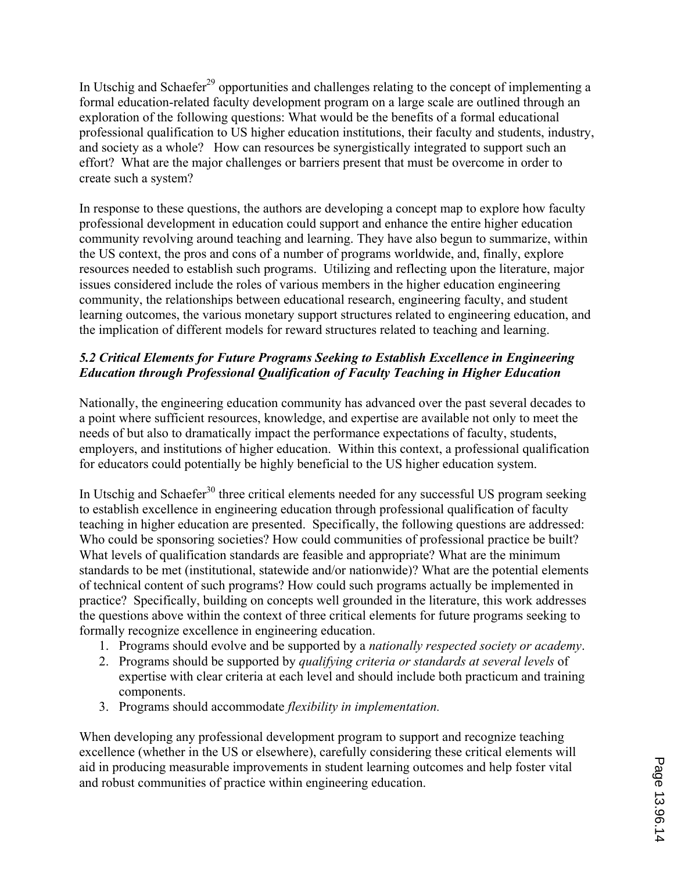In Utschig and Schaefer<sup>29</sup> opportunities and challenges relating to the concept of implementing a formal education-related faculty development program on a large scale are outlined through an exploration of the following questions: What would be the benefits of a formal educational professional qualification to US higher education institutions, their faculty and students, industry, and society as a whole? How can resources be synergistically integrated to support such an effort? What are the major challenges or barriers present that must be overcome in order to create such a system?

In response to these questions, the authors are developing a concept map to explore how faculty professional development in education could support and enhance the entire higher education community revolving around teaching and learning. They have also begun to summarize, within the US context, the pros and cons of a number of programs worldwide, and, finally, explore resources needed to establish such programs. Utilizing and reflecting upon the literature, major issues considered include the roles of various members in the higher education engineering community, the relationships between educational research, engineering faculty, and student learning outcomes, the various monetary support structures related to engineering education, and the implication of different models for reward structures related to teaching and learning.

### *5.2 Critical Elements for Future Programs Seeking to Establish Excellence in Engineering Education through Professional Qualification of Faculty Teaching in Higher Education*

Nationally, the engineering education community has advanced over the past several decades to a point where sufficient resources, knowledge, and expertise are available not only to meet the needs of but also to dramatically impact the performance expectations of faculty, students, employers, and institutions of higher education. Within this context, a professional qualification for educators could potentially be highly beneficial to the US higher education system.

In Utschig and Schaefer<sup>30</sup> three critical elements needed for any successful US program seeking to establish excellence in engineering education through professional qualification of faculty teaching in higher education are presented. Specifically, the following questions are addressed: Who could be sponsoring societies? How could communities of professional practice be built? What levels of qualification standards are feasible and appropriate? What are the minimum standards to be met (institutional, statewide and/or nationwide)? What are the potential elements of technical content of such programs? How could such programs actually be implemented in practice? Specifically, building on concepts well grounded in the literature, this work addresses the questions above within the context of three critical elements for future programs seeking to formally recognize excellence in engineering education.

- 1. Programs should evolve and be supported by a *nationally respected society or academy*.
- 2. Programs should be supported by *qualifying criteria or standards at several levels* of expertise with clear criteria at each level and should include both practicum and training components.
- 3. Programs should accommodate *flexibility in implementation.*

When developing any professional development program to support and recognize teaching excellence (whether in the US or elsewhere), carefully considering these critical elements will aid in producing measurable improvements in student learning outcomes and help foster vital and robust communities of practice within engineering education.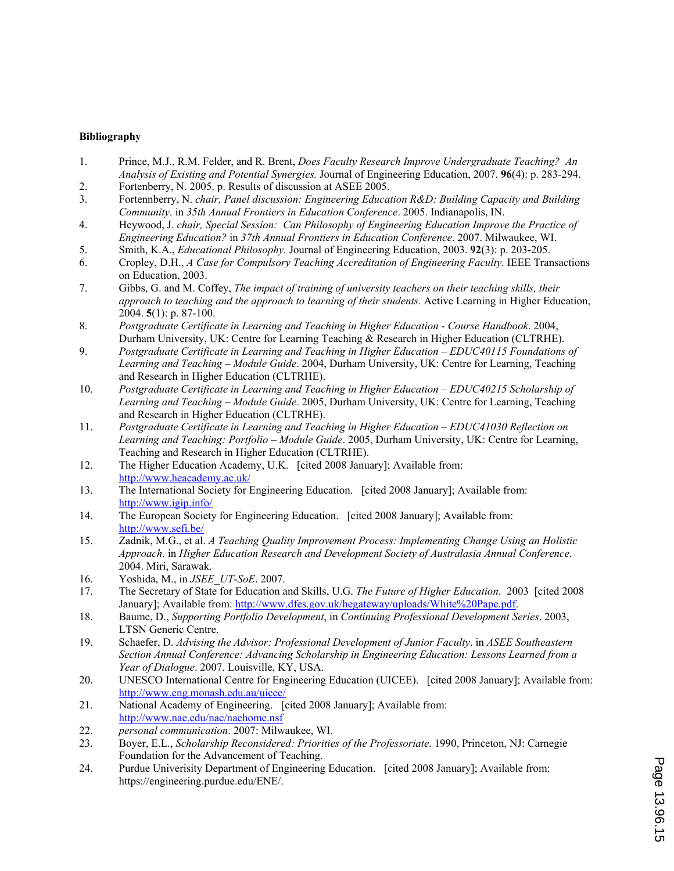#### **Bibliography**

- 1. Prince, M.J., R.M. Felder, and R. Brent, *Does Faculty Research Improve Undergraduate Teaching? An Analysis of Existing and Potential Synergies.* Journal of Engineering Education, 2007. **96**(4): p. 283-294.
- 2. Fortenberry, N. 2005. p. Results of discussion at ASEE 2005.<br>3. Fortennberry, N. chair, Panel discussion: Engineering Educa 3. Fortennberry, N. *chair, Panel discussion: Engineering Education R&D: Building Capacity and Building*
- *Community*. in *35th Annual Frontiers in Education Conference*. 2005. Indianapolis, IN.
- 4. Heywood, J. *chair, Special Session: Can Philosophy of Engineering Education Improve the Practice of Engineering Education?* in *37th Annual Frontiers in Education Conference*. 2007. Milwaukee, WI.
- 5. Smith, K.A., *Educational Philosophy.* Journal of Engineering Education, 2003. **92**(3): p. 203-205.
- 6. Cropley, D.H., *A Case for Compulsory Teaching Accreditation of Engineering Faculty.* IEEE Transactions on Education, 2003.
- 7. Gibbs, G. and M. Coffey, *The impact of training of university teachers on their teaching skills, their approach to teaching and the approach to learning of their students.* Active Learning in Higher Education, 2004. **5**(1): p. 87-100.
- 8. *Postgraduate Certificate in Learning and Teaching in Higher Education Course Handbook*. 2004, Durham University, UK: Centre for Learning Teaching & Research in Higher Education (CLTRHE).
- 9. *Postgraduate Certificate in Learning and Teaching in Higher Education EDUC40115 Foundations of Learning and Teaching – Module Guide*. 2004, Durham University, UK: Centre for Learning, Teaching and Research in Higher Education (CLTRHE).
- 10. *Postgraduate Certificate in Learning and Teaching in Higher Education EDUC40215 Scholarship of Learning and Teaching – Module Guide*. 2005, Durham University, UK: Centre for Learning, Teaching and Research in Higher Education (CLTRHE).
- 11. *Postgraduate Certificate in Learning and Teaching in Higher Education EDUC41030 Reflection on Learning and Teaching: Portfolio – Module Guide*. 2005, Durham University, UK: Centre for Learning, Teaching and Research in Higher Education (CLTRHE).
- 12. The Higher Education Academy, U.K. [cited 2008 January]; Available from: http://www.heacademy.ac.uk/
- 13. The International Society for Engineering Education. [cited 2008 January]; Available from: http://www.igip.info/
- 14. The European Society for Engineering Education. [cited 2008 January]; Available from: http://www.sefi.be/
- 15. Zadnik, M.G., et al. *A Teaching Quality Improvement Process: Implementing Change Using an Holistic Approach*. in *Higher Education Research and Development Society of Australasia Annual Conference*. 2004. Miri, Sarawak.
- 16. Yoshida, M., in *JSEE\_UT-SoE*. 2007.
- 17. The Secretary of State for Education and Skills, U.G. *The Future of Higher Education*. 2003 [cited 2008 January]; Available from: http://www.dfes.gov.uk/hegateway/uploads/White%20Pape.pdf.
- 18. Baume, D., *Supporting Portfolio Development*, in *Continuing Professional Development Series*. 2003, LTSN Generic Centre.
- 19. Schaefer, D. *Advising the Advisor: Professional Development of Junior Faculty*. in *ASEE Southeastern Section Annual Conference: Advancing Scholarship in Engineering Education: Lessons Learned from a Year of Dialogue*. 2007. Louisville, KY, USA.
- 20. UNESCO International Centre for Engineering Education (UICEE). [cited 2008 January]; Available from: http://www.eng.monash.edu.au/uicee/
- 21. National Academy of Engineering. [cited 2008 January]; Available from: http://www.nae.edu/nae/naehome.nsf
- 22. *personal communication*. 2007: Milwaukee, WI.
- 23. Boyer, E.L., *Scholarship Reconsidered: Priorities of the Professoriate*. 1990, Princeton, NJ: Carnegie Foundation for the Advancement of Teaching.
- 24. Purdue Univerisity Department of Engineering Education. [cited 2008 January]; Available from: https://engineering.purdue.edu/ENE/.